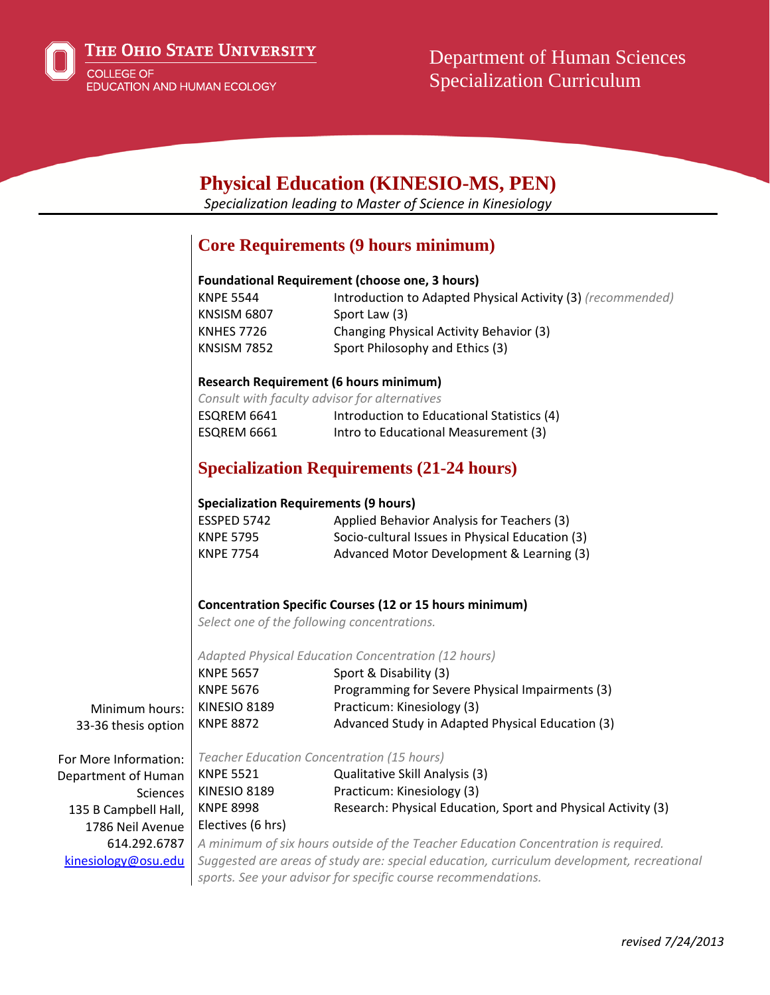

# **Physical Education (KINESIO-MS, PEN)**

*Specialization leading to Master of Science in Kinesiology*

### **Core Requirements (9 hours minimum)**

#### **Foundational Requirement (choose one, 3 hours)**

| <b>KNPE 5544</b>  | Introduction to Adapted Physical Activity (3) (recommended) |
|-------------------|-------------------------------------------------------------|
| KNSISM 6807       | Sport Law (3)                                               |
| <b>KNHES 7726</b> | Changing Physical Activity Behavior (3)                     |
| KNSISM 7852       | Sport Philosophy and Ethics (3)                             |

#### **Research Requirement (6 hours minimum)**

*Consult with faculty advisor for alternatives* ESQREM 6641 Introduction to Educational Statistics (4) ESQREM 6661 Intro to Educational Measurement (3)

## **Specialization Requirements (21-24 hours)**

#### **Specialization Requirements (9 hours)**

| ESSPED 5742      | Applied Behavior Analysis for Teachers (3)      |
|------------------|-------------------------------------------------|
| <b>KNPE 5795</b> | Socio-cultural Issues in Physical Education (3) |
| <b>KNPE 7754</b> | Advanced Motor Development & Learning (3)       |

#### **Concentration Specific Courses (12 or 15 hours minimum)**

*Select one of the following concentrations.*

*Adapted Physical Education Concentration (12 hours)*

| <b>KNPE 5657</b>                                                                      | Sport & Disability (3)                           |
|---------------------------------------------------------------------------------------|--------------------------------------------------|
| <b>KNPE 5676</b>                                                                      | Programming for Severe Physical Impairments (3)  |
| hours: $ $ KINESIO 8189                                                               | Practicum: Kinesiology (3)                       |
| option   KNPE 8872                                                                    | Advanced Study in Adapted Physical Education (3) |
|                                                                                       |                                                  |
| $\tau$ , the $\tau$ and $\tau$ and $\tau$ and $\tau$ and $\tau$ and $\tau$ and $\tau$ |                                                  |

Department of Human Sciences 135 B Campbell Hall, 1786 Neil Avenue 614.292.6787 kinesiology@osu.edu

Minimum 33-36 thesis

For More Information: *Teacher Education Concentration (15 hours)*

KNPE 5521 Qualitative Skill Analysis (3) KINESIO 8189 Practicum: Kinesiology (3) KNPE 8998 Research: Physical Education, Sport and Physical Activity (3) Electives (6 hrs) *A minimum of six hours outside of the Teacher Education Concentration is required.*

*Suggested are areas of study are: special education, curriculum development, recreational sports. See your advisor for specific course recommendations.*